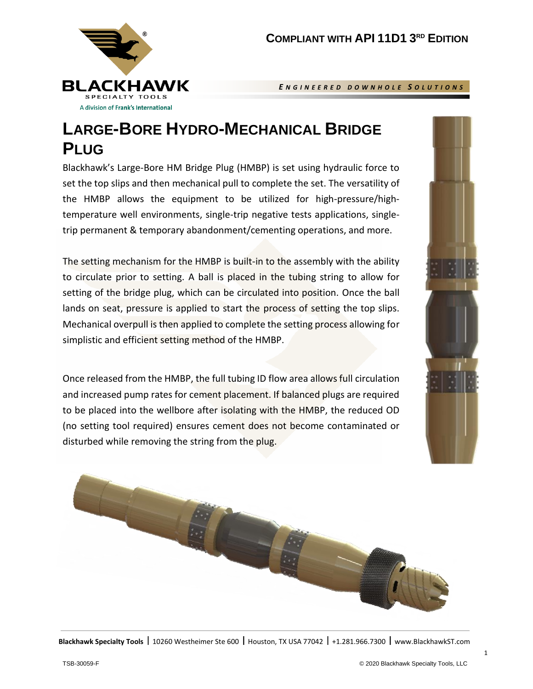

*E N G I N E E R E D D O W N H O L E S O L U T I O N S*

## **LARGE-BORE HYDRO-MECHANICAL BRIDGE PLUG**

Blackhawk's Large-Bore HM Bridge Plug (HMBP) is set using hydraulic force to set the top slips and then mechanical pull to complete the set. The versatility of the HMBP allows the equipment to be utilized for high-pressure/hightemperature well environments, single-trip negative tests applications, singletrip permanent & temporary abandonment/cementing operations, and more.

The setting mechanism for the HMBP is built-in to the assembly with the ability to circulate prior to setting. A ball is placed in the tubing string to allow for setting of the bridge plug, which can be circulated into position. Once the ball lands on seat, pressure is applied to start the process of setting the top slips. Mechanical overpull is then applied to complete the setting process allowing for simplistic and efficient setting method of the HMBP.

Once released from the HMBP, the full tubing ID flow area allows full circulation and increased pump rates for cement placement. If balanced plugs are required to be placed into the wellbore after isolating with the HMBP, the reduced OD (no setting tool required) ensures cement does not become contaminated or disturbed while removing the string from the plug.



**Blackhawk Specialty Tools | 10260** Westheimer Ste 600 | Houston, TX USA 77042 | +1.281.966.7300 | www.BlackhawkST.com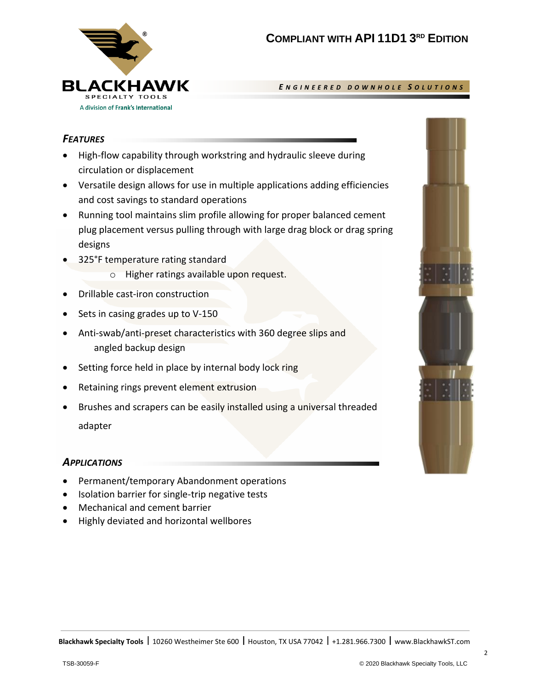

*E N G I N E E R E D D O W N H O L E S O L U T I O N S*

## *FEATURES*

- High-flow capability through workstring and hydraulic sleeve during circulation or displacement
- Versatile design allows for use in multiple applications adding efficiencies and cost savings to standard operations
- Running tool maintains slim profile allowing for proper balanced cement plug placement versus pulling through with large drag block or drag spring designs
- 325°F temperature rating standard
	- o Higher ratings available upon request.
- Drillable cast-iron construction
- Sets in casing grades up to V-150
- Anti-swab/anti-preset characteristics with 360 degree slips and angled backup design
- Setting force held in place by internal body lock ring
- Retaining rings prevent element extrusion
- Brushes and scrapers can be easily installed using a universal threaded adapter

## *APPLICATIONS*

- Permanent/temporary Abandonment operations
- Isolation barrier for single-trip negative tests
- Mechanical and cement barrier
- Highly deviated and horizontal wellbores